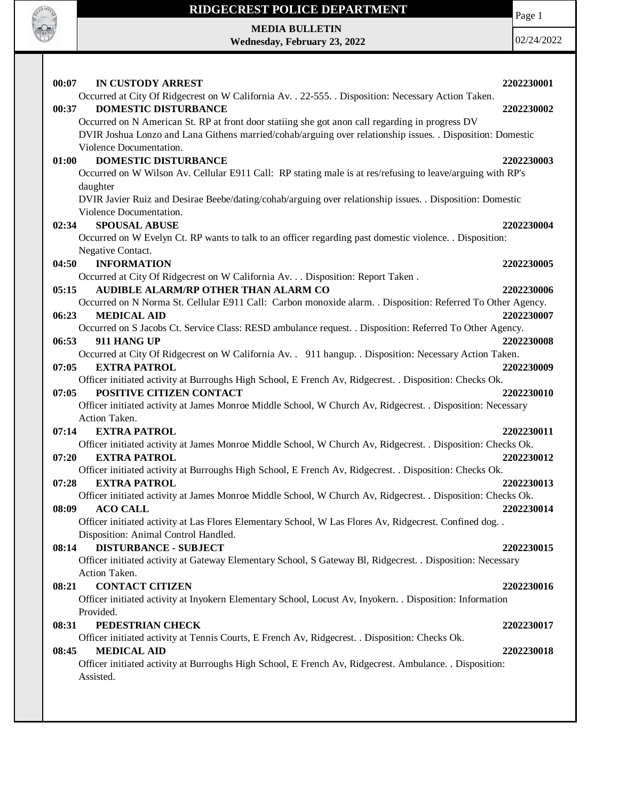

# **RIDGECREST POLICE DEPARTMENT MEDIA BULLETIN**

**Wednesday, February 23, 2022**

Page 1

| 00:07 | IN CUSTODY ARREST                                                                                                                       | 2202230001 |
|-------|-----------------------------------------------------------------------------------------------------------------------------------------|------------|
|       | Occurred at City Of Ridgecrest on W California Av. . 22-555. . Disposition: Necessary Action Taken.                                     |            |
| 00:37 | <b>DOMESTIC DISTURBANCE</b>                                                                                                             | 2202230002 |
|       | Occurred on N American St. RP at front door statiing she got anon call regarding in progress DV                                         |            |
|       | DVIR Joshua Lonzo and Lana Githens married/cohab/arguing over relationship issues. . Disposition: Domestic<br>Violence Documentation.   |            |
| 01:00 | <b>DOMESTIC DISTURBANCE</b>                                                                                                             | 2202230003 |
|       | Occurred on W Wilson Av. Cellular E911 Call: RP stating male is at res/refusing to leave/arguing with RP's                              |            |
|       | daughter                                                                                                                                |            |
|       | DVIR Javier Ruiz and Desirae Beebe/dating/cohab/arguing over relationship issues. . Disposition: Domestic                               |            |
|       | Violence Documentation.                                                                                                                 |            |
| 02:34 | <b>SPOUSAL ABUSE</b>                                                                                                                    | 2202230004 |
|       | Occurred on W Evelyn Ct. RP wants to talk to an officer regarding past domestic violence. . Disposition:                                |            |
|       | Negative Contact.                                                                                                                       |            |
| 04:50 | <b>INFORMATION</b>                                                                                                                      | 2202230005 |
|       | Occurred at City Of Ridgecrest on W California Av. Disposition: Report Taken .                                                          |            |
| 05:15 | AUDIBLE ALARM/RP OTHER THAN ALARM CO                                                                                                    | 2202230006 |
|       | Occurred on N Norma St. Cellular E911 Call: Carbon monoxide alarm. . Disposition: Referred To Other Agency.                             |            |
| 06:23 | <b>MEDICAL AID</b>                                                                                                                      | 2202230007 |
|       | Occurred on S Jacobs Ct. Service Class: RESD ambulance request. . Disposition: Referred To Other Agency.                                |            |
| 06:53 | 911 HANG UP                                                                                                                             | 2202230008 |
|       | Occurred at City Of Ridgecrest on W California Av. . 911 hangup. . Disposition: Necessary Action Taken.                                 |            |
| 07:05 | <b>EXTRA PATROL</b>                                                                                                                     | 2202230009 |
|       | Officer initiated activity at Burroughs High School, E French Av, Ridgecrest. . Disposition: Checks Ok.                                 |            |
| 07:05 | POSITIVE CITIZEN CONTACT<br>Officer initiated activity at James Monroe Middle School, W Church Av, Ridgecrest. . Disposition: Necessary | 2202230010 |
|       | Action Taken.                                                                                                                           |            |
| 07:14 | <b>EXTRA PATROL</b>                                                                                                                     | 2202230011 |
|       | Officer initiated activity at James Monroe Middle School, W Church Av, Ridgecrest. . Disposition: Checks Ok.                            |            |
| 07:20 | <b>EXTRA PATROL</b>                                                                                                                     | 2202230012 |
|       | Officer initiated activity at Burroughs High School, E French Av, Ridgecrest. . Disposition: Checks Ok.                                 |            |
| 07:28 | <b>EXTRA PATROL</b>                                                                                                                     | 2202230013 |
|       | Officer initiated activity at James Monroe Middle School, W Church Av, Ridgecrest. . Disposition: Checks Ok.                            |            |
| 08:09 | <b>ACO CALL</b>                                                                                                                         | 2202230014 |
|       | Officer initiated activity at Las Flores Elementary School, W Las Flores Av, Ridgecrest. Confined dog                                   |            |
|       | Disposition: Animal Control Handled.                                                                                                    |            |
| 08:14 | <b>DISTURBANCE - SUBJECT</b>                                                                                                            | 2202230015 |
|       | Officer initiated activity at Gateway Elementary School, S Gateway Bl, Ridgecrest. . Disposition: Necessary                             |            |
|       | Action Taken.                                                                                                                           |            |
| 08:21 | <b>CONTACT CITIZEN</b>                                                                                                                  | 2202230016 |
|       | Officer initiated activity at Inyokern Elementary School, Locust Av, Inyokern. . Disposition: Information                               |            |
|       | Provided.                                                                                                                               |            |
| 08:31 | PEDESTRIAN CHECK                                                                                                                        | 2202230017 |
|       | Officer initiated activity at Tennis Courts, E French Av, Ridgecrest. . Disposition: Checks Ok.                                         |            |
| 08:45 | <b>MEDICAL AID</b>                                                                                                                      | 2202230018 |
|       | Officer initiated activity at Burroughs High School, E French Av, Ridgecrest. Ambulance. . Disposition:<br>Assisted.                    |            |
|       |                                                                                                                                         |            |
|       |                                                                                                                                         |            |
|       |                                                                                                                                         |            |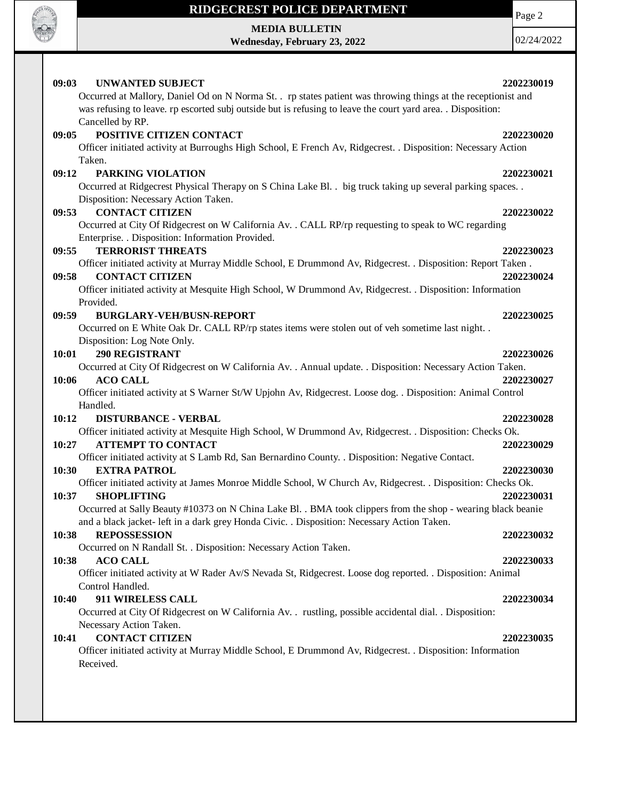

# **RIDGECREST POLICE DEPARTMENT MEDIA BULLETIN**

**Wednesday, February 23, 2022**

Page 2

| 09:03<br><b>UNWANTED SUBJECT</b>                                                                              | 2202230019 |
|---------------------------------------------------------------------------------------------------------------|------------|
| Occurred at Mallory, Daniel Od on N Norma St. . rp states patient was throwing things at the receptionist and |            |
| was refusing to leave. rp escorted subj outside but is refusing to leave the court yard area. . Disposition:  |            |
| Cancelled by RP.                                                                                              |            |
| POSITIVE CITIZEN CONTACT<br>09:05                                                                             | 2202230020 |
| Officer initiated activity at Burroughs High School, E French Av, Ridgecrest. . Disposition: Necessary Action |            |
| Taken.                                                                                                        |            |
| PARKING VIOLATION<br>09:12                                                                                    | 2202230021 |
| Occurred at Ridgecrest Physical Therapy on S China Lake Bl. . big truck taking up several parking spaces. .   |            |
| Disposition: Necessary Action Taken.                                                                          |            |
| <b>CONTACT CITIZEN</b><br>09:53                                                                               | 2202230022 |
| Occurred at City Of Ridgecrest on W California Av. . CALL RP/rp requesting to speak to WC regarding           |            |
| Enterprise. . Disposition: Information Provided.                                                              |            |
| <b>TERRORIST THREATS</b><br>09:55                                                                             | 2202230023 |
| Officer initiated activity at Murray Middle School, E Drummond Av, Ridgecrest. . Disposition: Report Taken.   |            |
| <b>CONTACT CITIZEN</b><br>09:58                                                                               | 2202230024 |
| Officer initiated activity at Mesquite High School, W Drummond Av, Ridgecrest. . Disposition: Information     |            |
| Provided.                                                                                                     |            |
| 09:59<br><b>BURGLARY-VEH/BUSN-REPORT</b>                                                                      | 2202230025 |
| Occurred on E White Oak Dr. CALL RP/rp states items were stolen out of veh sometime last night                |            |
| Disposition: Log Note Only.                                                                                   |            |
| <b>290 REGISTRANT</b><br>10:01                                                                                | 2202230026 |
| Occurred at City Of Ridgecrest on W California Av. . Annual update. . Disposition: Necessary Action Taken.    |            |
| <b>ACO CALL</b><br>10:06                                                                                      | 2202230027 |
| Officer initiated activity at S Warner St/W Upjohn Av, Ridgecrest. Loose dog. . Disposition: Animal Control   |            |
| Handled.                                                                                                      |            |
| 10:12<br><b>DISTURBANCE - VERBAL</b>                                                                          | 2202230028 |
| Officer initiated activity at Mesquite High School, W Drummond Av, Ridgecrest. . Disposition: Checks Ok.      |            |
| <b>ATTEMPT TO CONTACT</b><br>10:27                                                                            | 2202230029 |
| Officer initiated activity at S Lamb Rd, San Bernardino County. . Disposition: Negative Contact.              |            |
| 10:30<br><b>EXTRA PATROL</b>                                                                                  | 2202230030 |
| Officer initiated activity at James Monroe Middle School, W Church Av, Ridgecrest. . Disposition: Checks Ok.  |            |
| 10:37<br><b>SHOPLIFTING</b>                                                                                   | 2202230031 |
| Occurred at Sally Beauty #10373 on N China Lake Bl. . BMA took clippers from the shop - wearing black beanie  |            |
| and a black jacket- left in a dark grey Honda Civic. . Disposition: Necessary Action Taken.                   |            |
| <b>REPOSSESSION</b><br>10:38                                                                                  | 2202230032 |
| Occurred on N Randall St. . Disposition: Necessary Action Taken.                                              |            |
| 10:38<br><b>ACO CALL</b>                                                                                      | 2202230033 |
| Officer initiated activity at W Rader Av/S Nevada St, Ridgecrest. Loose dog reported. . Disposition: Animal   |            |
| Control Handled.                                                                                              |            |
| 911 WIRELESS CALL<br>10:40                                                                                    | 2202230034 |
| Occurred at City Of Ridgecrest on W California Av. . rustling, possible accidental dial. . Disposition:       |            |
| Necessary Action Taken.                                                                                       |            |
| <b>CONTACT CITIZEN</b><br>10:41                                                                               | 2202230035 |
| Officer initiated activity at Murray Middle School, E Drummond Av, Ridgecrest. . Disposition: Information     |            |
| Received.                                                                                                     |            |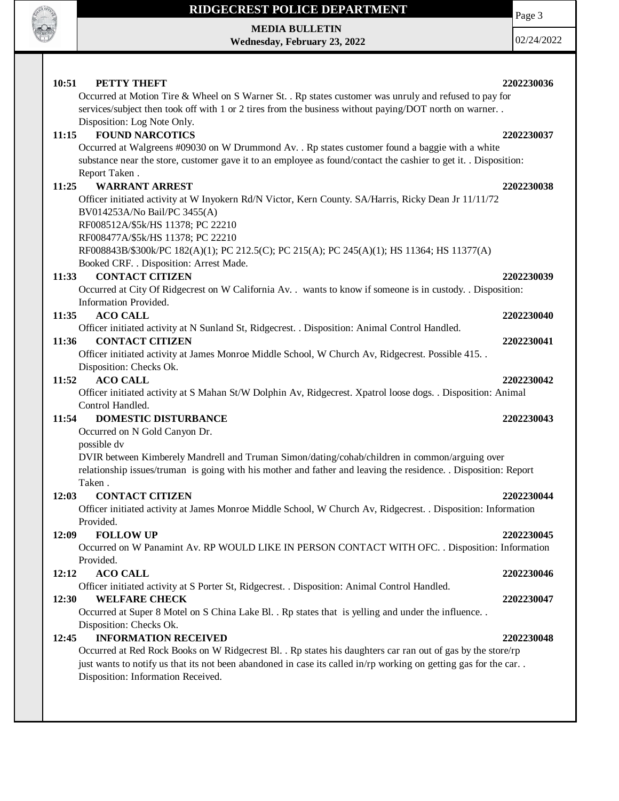

### **RIDGECREST POLICE DEPARTMENT**

**MEDIA BULLETIN Wednesday, February 23, 2022** Page 3

| PETTY THEFT<br>10:51                                                                                                 | 2202230036 |
|----------------------------------------------------------------------------------------------------------------------|------------|
| Occurred at Motion Tire & Wheel on S Warner St. . Rp states customer was unruly and refused to pay for               |            |
| services/subject then took off with 1 or 2 tires from the business without paying/DOT north on warner                |            |
| Disposition: Log Note Only.                                                                                          |            |
| <b>FOUND NARCOTICS</b><br>11:15                                                                                      | 2202230037 |
| Occurred at Walgreens #09030 on W Drummond Av. . Rp states customer found a baggie with a white                      |            |
| substance near the store, customer gave it to an employee as found/contact the cashier to get it. . Disposition:     |            |
| Report Taken.                                                                                                        |            |
| 11:25<br><b>WARRANT ARREST</b>                                                                                       | 2202230038 |
| Officer initiated activity at W Inyokern Rd/N Victor, Kern County. SA/Harris, Ricky Dean Jr 11/11/72                 |            |
| BV014253A/No Bail/PC 3455(A)                                                                                         |            |
| RF008512A/\$5k/HS 11378; PC 22210                                                                                    |            |
| RF008477A/\$5k/HS 11378; PC 22210                                                                                    |            |
| RF008843B/\$300k/PC 182(A)(1); PC 212.5(C); PC 215(A); PC 245(A)(1); HS 11364; HS 11377(A)                           |            |
| Booked CRF. . Disposition: Arrest Made.                                                                              |            |
| <b>CONTACT CITIZEN</b><br>11:33                                                                                      | 2202230039 |
| Occurred at City Of Ridgecrest on W California Av. . wants to know if someone is in custody. . Disposition:          |            |
| Information Provided.                                                                                                |            |
| 11:35<br><b>ACO CALL</b>                                                                                             | 2202230040 |
| Officer initiated activity at N Sunland St, Ridgecrest. . Disposition: Animal Control Handled.                       |            |
| <b>CONTACT CITIZEN</b><br>11:36                                                                                      | 2202230041 |
| Officer initiated activity at James Monroe Middle School, W Church Av, Ridgecrest. Possible 415                      |            |
| Disposition: Checks Ok.                                                                                              |            |
| <b>ACO CALL</b><br>11:52                                                                                             | 2202230042 |
| Officer initiated activity at S Mahan St/W Dolphin Av, Ridgecrest. Xpatrol loose dogs. . Disposition: Animal         |            |
| Control Handled.                                                                                                     |            |
| <b>DOMESTIC DISTURBANCE</b><br>11:54                                                                                 | 2202230043 |
| Occurred on N Gold Canyon Dr.                                                                                        |            |
| possible dv                                                                                                          |            |
| DVIR between Kimberely Mandrell and Truman Simon/dating/cohab/children in common/arguing over                        |            |
| relationship issues/truman is going with his mother and father and leaving the residence. . Disposition: Report      |            |
| Taken.                                                                                                               |            |
| <b>CONTACT CITIZEN</b><br>12:03                                                                                      | 2202230044 |
| Officer initiated activity at James Monroe Middle School, W Church Av, Ridgecrest. . Disposition: Information        |            |
| Provided.                                                                                                            |            |
| <b>FOLLOW UP</b>                                                                                                     | 2202230045 |
| 12:09<br>Occurred on W Panamint Av. RP WOULD LIKE IN PERSON CONTACT WITH OFC. . Disposition: Information             |            |
| Provided.                                                                                                            |            |
| <b>ACO CALL</b><br>12:12                                                                                             | 2202230046 |
| Officer initiated activity at S Porter St, Ridgecrest. . Disposition: Animal Control Handled.                        |            |
| 12:30<br><b>WELFARE CHECK</b>                                                                                        | 2202230047 |
| Occurred at Super 8 Motel on S China Lake Bl. . Rp states that is yelling and under the influence. .                 |            |
| Disposition: Checks Ok.                                                                                              |            |
| <b>INFORMATION RECEIVED</b>                                                                                          |            |
| 12:45<br>Occurred at Red Rock Books on W Ridgecrest Bl. . Rp states his daughters car ran out of gas by the store/rp | 2202230048 |
| just wants to notify us that its not been abandoned in case its called in/rp working on getting gas for the car      |            |
|                                                                                                                      |            |
|                                                                                                                      |            |
| Disposition: Information Received.                                                                                   |            |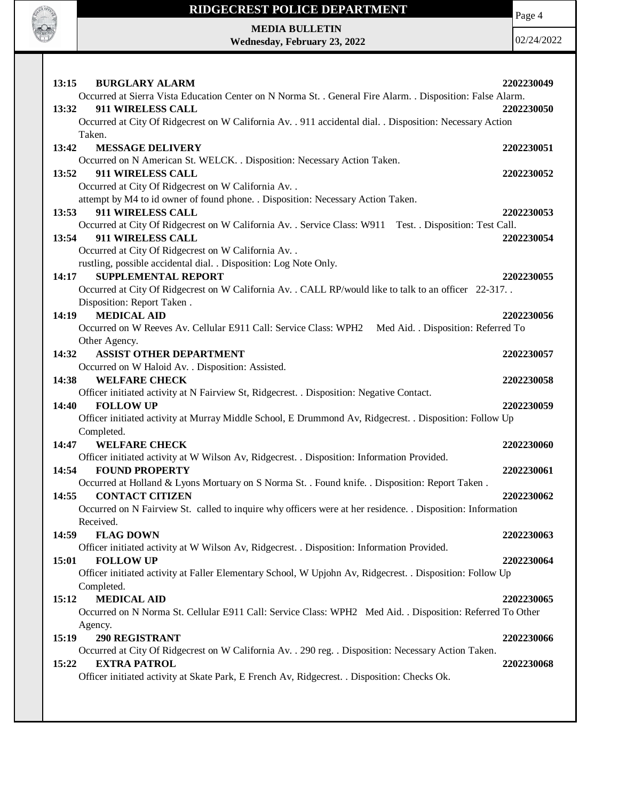

# **RIDGECREST POLICE DEPARTMENT**

**MEDIA BULLETIN Wednesday, February 23, 2022**

**CALL OF CALL** 

| 13:15<br><b>BURGLARY ALARM</b>                                                                              | 2202230049 |
|-------------------------------------------------------------------------------------------------------------|------------|
| Occurred at Sierra Vista Education Center on N Norma St. . General Fire Alarm. . Disposition: False Alarm.  |            |
| 911 WIRELESS CALL<br>13:32                                                                                  | 2202230050 |
| Occurred at City Of Ridgecrest on W California Av. . 911 accidental dial. . Disposition: Necessary Action   |            |
| Taken.                                                                                                      |            |
| 13:42<br><b>MESSAGE DELIVERY</b>                                                                            | 2202230051 |
| Occurred on N American St. WELCK. . Disposition: Necessary Action Taken.                                    |            |
| 911 WIRELESS CALL<br>13:52                                                                                  | 2202230052 |
| Occurred at City Of Ridgecrest on W California Av. .                                                        |            |
| attempt by M4 to id owner of found phone. . Disposition: Necessary Action Taken.                            |            |
| 13:53<br>911 WIRELESS CALL                                                                                  | 2202230053 |
| Occurred at City Of Ridgecrest on W California Av. . Service Class: W911 Test. . Disposition: Test Call.    |            |
| 911 WIRELESS CALL<br>13:54                                                                                  | 2202230054 |
| Occurred at City Of Ridgecrest on W California Av. .                                                        |            |
| rustling, possible accidental dial. . Disposition: Log Note Only.                                           |            |
| <b>SUPPLEMENTAL REPORT</b><br>14:17                                                                         | 2202230055 |
| Occurred at City Of Ridgecrest on W California Av. . CALL RP/would like to talk to an officer 22-317. .     |            |
| Disposition: Report Taken.                                                                                  |            |
| <b>MEDICAL AID</b><br>14:19                                                                                 | 2202230056 |
| Occurred on W Reeves Av. Cellular E911 Call: Service Class: WPH2 Med Aid. . Disposition: Referred To        |            |
| Other Agency.                                                                                               |            |
| <b>ASSIST OTHER DEPARTMENT</b><br>14:32                                                                     | 2202230057 |
| Occurred on W Haloid Av. . Disposition: Assisted.                                                           |            |
| 14:38<br><b>WELFARE CHECK</b>                                                                               | 2202230058 |
| Officer initiated activity at N Fairview St, Ridgecrest. . Disposition: Negative Contact.                   |            |
| <b>FOLLOW UP</b><br>14:40                                                                                   | 2202230059 |
| Officer initiated activity at Murray Middle School, E Drummond Av, Ridgecrest. . Disposition: Follow Up     |            |
| Completed.                                                                                                  |            |
| 14:47<br><b>WELFARE CHECK</b>                                                                               | 2202230060 |
| Officer initiated activity at W Wilson Av, Ridgecrest. . Disposition: Information Provided.                 |            |
| <b>FOUND PROPERTY</b><br>14:54                                                                              | 2202230061 |
| Occurred at Holland & Lyons Mortuary on S Norma St. . Found knife. . Disposition: Report Taken.             |            |
| 14:55<br><b>CONTACT CITIZEN</b>                                                                             | 2202230062 |
| Occurred on N Fairview St. called to inquire why officers were at her residence. . Disposition: Information |            |
| Received.                                                                                                   |            |
| 14:59<br><b>FLAG DOWN</b>                                                                                   | 2202230063 |
| Officer initiated activity at W Wilson Av, Ridgecrest. . Disposition: Information Provided.                 |            |
| <b>FOLLOW UP</b><br>15:01                                                                                   | 2202230064 |
| Officer initiated activity at Faller Elementary School, W Upjohn Av, Ridgecrest. . Disposition: Follow Up   |            |
| Completed.                                                                                                  |            |
| <b>MEDICAL AID</b><br>15:12                                                                                 | 2202230065 |
| Occurred on N Norma St. Cellular E911 Call: Service Class: WPH2 Med Aid. . Disposition: Referred To Other   |            |
| Agency.                                                                                                     |            |
| <b>290 REGISTRANT</b><br>15:19                                                                              | 2202230066 |
| Occurred at City Of Ridgecrest on W California Av. . 290 reg. . Disposition: Necessary Action Taken.        |            |
| <b>EXTRA PATROL</b><br>15:22                                                                                | 2202230068 |
| Officer initiated activity at Skate Park, E French Av, Ridgecrest. . Disposition: Checks Ok.                |            |
|                                                                                                             |            |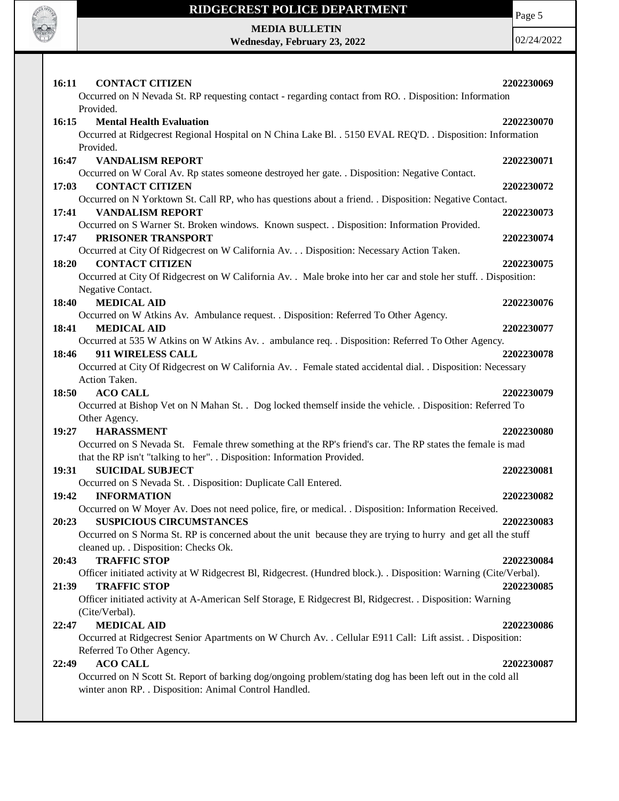

#### **RIDGECREST POLICE DEPARTMENT**

Page 5

**MEDIA BULLETIN Wednesday, February 23, 2022**

| <b>CONTACT CITIZEN</b><br><b>16:11</b>                                                                                           | 2202230069 |
|----------------------------------------------------------------------------------------------------------------------------------|------------|
| Occurred on N Nevada St. RP requesting contact - regarding contact from RO. . Disposition: Information                           |            |
| Provided.                                                                                                                        |            |
| 16:15<br><b>Mental Health Evaluation</b>                                                                                         | 2202230070 |
| Occurred at Ridgecrest Regional Hospital on N China Lake Bl. . 5150 EVAL REQ'D. . Disposition: Information<br>Provided.          |            |
| 16:47<br><b>VANDALISM REPORT</b>                                                                                                 | 2202230071 |
| Occurred on W Coral Av. Rp states someone destroyed her gate. . Disposition: Negative Contact.                                   |            |
| 17:03<br><b>CONTACT CITIZEN</b>                                                                                                  | 2202230072 |
| Occurred on N Yorktown St. Call RP, who has questions about a friend. . Disposition: Negative Contact.                           |            |
| <b>VANDALISM REPORT</b><br>17:41                                                                                                 | 2202230073 |
| Occurred on S Warner St. Broken windows. Known suspect. . Disposition: Information Provided.                                     |            |
| 17:47<br>PRISONER TRANSPORT                                                                                                      | 2202230074 |
| Occurred at City Of Ridgecrest on W California Av. Disposition: Necessary Action Taken.                                          |            |
| 18:20<br><b>CONTACT CITIZEN</b>                                                                                                  | 2202230075 |
| Occurred at City Of Ridgecrest on W California Av. . Male broke into her car and stole her stuff. . Disposition:                 |            |
| Negative Contact.                                                                                                                |            |
| <b>MEDICAL AID</b><br>18:40                                                                                                      | 2202230076 |
| Occurred on W Atkins Av. Ambulance request. . Disposition: Referred To Other Agency.                                             |            |
| <b>MEDICAL AID</b><br>18:41                                                                                                      | 2202230077 |
| Occurred at 535 W Atkins on W Atkins Av. . ambulance req. . Disposition: Referred To Other Agency.<br>18:46<br>911 WIRELESS CALL |            |
|                                                                                                                                  | 2202230078 |
| Occurred at City Of Ridgecrest on W California Av. . Female stated accidental dial. . Disposition: Necessary<br>Action Taken.    |            |
| <b>ACO CALL</b><br>18:50                                                                                                         | 2202230079 |
| Occurred at Bishop Vet on N Mahan St. . Dog locked themself inside the vehicle. . Disposition: Referred To                       |            |
| Other Agency.                                                                                                                    |            |
| <b>HARASSMENT</b><br>19:27                                                                                                       | 2202230080 |
| Occurred on S Nevada St. Female threw something at the RP's friend's car. The RP states the female is mad                        |            |
| that the RP isn't "talking to her". . Disposition: Information Provided.                                                         |            |
| 19:31<br><b>SUICIDAL SUBJECT</b>                                                                                                 | 2202230081 |
| Occurred on S Nevada St. . Disposition: Duplicate Call Entered.                                                                  |            |
| 19:42<br><b>INFORMATION</b>                                                                                                      | 2202230082 |
| Occurred on W Moyer Av. Does not need police, fire, or medical. . Disposition: Information Received.                             |            |
| 20:23<br><b>SUSPICIOUS CIRCUMSTANCES</b>                                                                                         | 2202230083 |
| Occurred on S Norma St. RP is concerned about the unit because they are trying to hurry and get all the stuff                    |            |
| cleaned up. . Disposition: Checks Ok.                                                                                            |            |
| <b>TRAFFIC STOP</b><br>20:43                                                                                                     | 2202230084 |
| Officer initiated activity at W Ridgecrest Bl, Ridgecrest. (Hundred block.). . Disposition: Warning (Cite/Verbal).               |            |
| 21:39<br><b>TRAFFIC STOP</b>                                                                                                     | 2202230085 |
| Officer initiated activity at A-American Self Storage, E Ridgecrest Bl, Ridgecrest. . Disposition: Warning                       |            |
| (Cite/Verbal).                                                                                                                   |            |
| <b>MEDICAL AID</b><br>22:47                                                                                                      | 2202230086 |
| Occurred at Ridgecrest Senior Apartments on W Church Av. . Cellular E911 Call: Lift assist. . Disposition:                       |            |
| Referred To Other Agency.                                                                                                        |            |
| <b>ACO CALL</b><br>22:49                                                                                                         | 2202230087 |
| Occurred on N Scott St. Report of barking dog/ongoing problem/stating dog has been left out in the cold all                      |            |
| winter anon RP. . Disposition: Animal Control Handled.                                                                           |            |
|                                                                                                                                  |            |